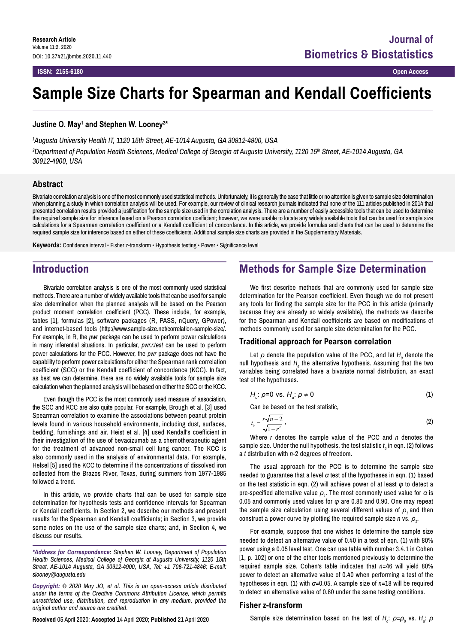# **Sample Size Charts for Spearman and Kendall Coefficients**

**Justine O. May1 and Stephen W. Looney2 \***

*1 Augusta University Health IT, 1120 15th Street, AE‑1014 Augusta, GA 30912‑4900, USA*

*2 Department of Population Health Sciences, Medical College of Georgia at Augusta University, 1120 15th Street, AE‑1014 Augusta, GA 30912‑4900, USA*

### **Abstract**

Bivariate correlation analysis is one of the most commonly used statistical methods. Unfortunately, it is generally the case that little or no attention is given to sample size determination when planning a study in which correlation analysis will be used. For example, our review of clinical research journals indicated that none of the 111 articles published in 2014 that presented correlation results provided a justification for the sample size used in the correlation analysis. There are a number of easily accessible tools that can be used to determine the required sample size for inference based on a Pearson correlation coefficient; however, we were unable to locate any widely available tools that can be used for sample size calculations for a Spearman correlation coefficient or a Kendall coefficient of concordance. In this article, we provide formulas and charts that can be used to determine the required sample size for inference based on either of these coefficients. Additional sample size charts are provided in the Supplementary Materials.

**Keywords:** Confidence interval • Fisher z-transform • Hypothesis testing • Power • Significance level

## **Introduction**

Bivariate correlation analysis is one of the most commonly used statistical methods. There are a number of widely available tools that can be used for sample size determination when the planned analysis will be based on the Pearson product moment correlation coefficient (PCC). These include, for example, tables [1], formulas [2], software packages (R, PASS, nQuery, GPower), and internet-based tools (<http://www.sample-size.net/correlation-sample-size/>. For example, in R, the *pwr* package can be used to perform power calculations in many inferential situations. In particular, *pwr.r.test* can be used to perform power calculations for the PCC. However, the *pwr* package does not have the capability to perform power calculations for either the Spearman rank correlation coefficient (SCC) or the Kendall coefficient of concordance (KCC). In fact, as best we can determine, there are no widely available tools for sample size calculation when the planned analysis will be based on either the SCC or the KCC.

Even though the PCC is the most commonly used measure of association, the SCC and KCC are also quite popular. For example, Brough et al. [3] used Spearman correlation to examine the associations between peanut protein levels found in various household environments, including dust, surfaces, bedding, furnishings and air. Heist et al. [4] used Kendall's coefficient in their investigation of the use of bevacizumab as a chemotherapeutic agent for the treatment of advanced non-small cell lung cancer. The KCC is also commonly used in the analysis of environmental data. For example, Helsel [5] used the KCC to determine if the concentrations of dissolved iron collected from the Brazos River, Texas, during summers from 1977-1985 followed a trend.

In this article, we provide charts that can be used for sample size determination for hypothesis tests and confidence intervals for Spearman or Kendall coefficients. In Section 2, we describe our methods and present results for the Spearman and Kendall coefficients; in Section 3, we provide some notes on the use of the sample size charts; and, in Section 4, we discuss our results.

*\*Address for Correspondence: Stephen W. Looney, Department of Population Health Sciences, Medical College of Georgia at Augusta University, 1120 15th Street, AE‑1014 Augusta, GA 30912‑4900, USA, Tel: +1 706-721-4846; E-mail: [slooney@augusta.edu](mailto:slooney@augusta.edu)*

*Copyright: © 2020 May JO, et al. This is an open-access article distributed under the terms of the Creative Commons Attribution License, which permits unrestricted use, distribution, and reproduction in any medium, provided the original author and source are credited.*

**Received** 05 April 2020; **Accepted** 14 April 2020; **Published** 21 April 2020

# **Methods for Sample Size Determination**

We first describe methods that are commonly used for sample size determination for the Pearson coefficient. Even though we do not present any tools for finding the sample size for the PCC in this article (primarily because they are already so widely available), the methods we describe for the Spearman and Kendall coefficients are based on modifications of methods commonly used for sample size determination for the PCC.

### **Traditional approach for Pearson correlation**

Let  $\rho$  denote the population value of the PCC, and let  $H_{_0}$  denote the null hypothesis and  $H_{\scriptscriptstyle a}$  the alternative hypothesis. Assuming that the two variables being correlated have a bivariate normal distribution, an exact test of the hypotheses.

$$
H_o: \rho=0 \text{ vs. } H_a: \rho \neq 0 \tag{1}
$$

Can be based on the test statistic,

$$
t_0 = \frac{r\sqrt{n-2}}{\sqrt{1-r^2}}\,,\tag{2}
$$

Where *r* denotes the sample value of the PCC and *n* denotes the sample size. Under the null hypothesis, the test statistic  $t_o$  in eqn. (2) follows a *t* distribution with *n*-2 degrees of freedom.

The usual approach for the PCC is to determine the sample size needed to guarantee that a level *α* test of the hypotheses in eqn. (1) based on the test statistic in eqn. (2) will achieve power of at least *φ* to detect a pre-specified alternative value *ρ<sup>1</sup>* . The most commonly used value for *α* is 0.05 and commonly used values for *φ* are 0.80 and 0.90. One may repeat the sample size calculation using several different values of  $\rho$ , and then  $\epsilon$  construct a power curve by plotting the required sample size  $n$  vs.  $\rho_{_{1}}$ .

For example, suppose that one wishes to determine the sample size needed to detect an alternative value of 0.40 in a test of eqn. (1) with 80% power using a 0.05 level test. One can use table with number 3.4.1 in Cohen [1, p. 102] or one of the other tools mentioned previously to determine the required sample size. Cohen's table indicates that *n*=46 will yield 80% power to detect an alternative value of 0.40 when performing a test of the hypotheses in eqn. (1) with *α*=0.05. A sample size of *n*=18 will be required to detect an alternative value of 0.60 under the same testing conditions.

#### **Fisher z-transform**

Sample size determination based on the test of  $H_o$ :  $\rho = \rho_0$  vs.  $H_a$ :  $\rho$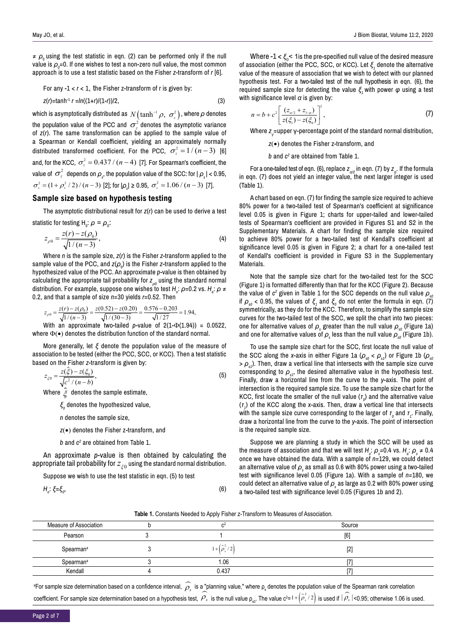$\neq$   $\rho$ <sub>0</sub> using the test statistic in eqn. (2) can be performed only if the null value is  $\rho_{_{\scriptscriptstyle{\theta}}}$ =0. If one wishes to test a non-zero null value, the most common approach is to use a test statistic based on the Fisher *z*-transform of *r* [6].

For any 
$$
-1 < r < 1
$$
, the Fisher z-transform of  $r$  is given by:

$$
z(r) = \tanh^{-1} r = \ln((1+r)/(1-r))/2,
$$
\n(3)

which is asymptotically distributed as  $\,N\big(\text{tanh}^{-1}\rho,\ \sigma^2_{\scriptscriptstyle \cal Z}\big)$  , where  $\rho$  denotes the population value of the PCC and  $\sigma_z^2$  denotes the asymptotic variance of *z*(*r*). The same transformation can be applied to the sample value of a Spearman or Kendall coefficient, yielding an approximately normally distributed transformed coefficient. For the PCC,  $\sigma_z^2 = 1/(n-3)$  [6] and, for the KCC,  $\sigma_z^2 = 0.437 / (n - 4)$  [7]. For Spearman's coefficient, the value of  $\sigma_z^2$  depends on  $\rho_s$ , the population value of the SCC: for |  $\rho_s$ | < 0.95,  $\sigma_z^2 = (1 + \rho_s^2 / 2) / (n - 3)$  [2]; for  $|\rho_s| \ge 0.95$ ,  $\sigma_z^2 = 1.06 / (n - 3)$  [7].

### **Sample size based on hypothesis testing**

The asymptotic distributional result for *z*(*r*) can be used to derive a test statistic for testing H<sub>0</sub>:  $\rho = \rho_0$ :

$$
z_{\rho 0} = \frac{z(r) - z(\rho_0)}{\sqrt{1/(n-3)}},
$$
\n(4)

Where *n* is the sample size, *z*(*r*) is the Fisher *z-*transform applied to the sample value of the PCC, and *z*( $\rho_{_{0}}$ ) is the Fisher *z-*transform applied to the hypothesized value of the PCC. An approximate *p*-value is then obtained by calculating the appropriate tail probability for  $z_{\rho 0}$  using the standard normal distribution. For example, suppose one wishes to test *H<sub>o</sub>: ρ*=0.2 vs. *H<sub>a</sub>: ρ* ≠ 0.2, and that a sample of size *n*=30 yields *r*=0.52. Then

$$
z_{\rho 0} = \frac{z(r) - z(\rho_0)}{\sqrt{1/(n-3)}} = \frac{z(0.52) - z(0.20)}{\sqrt{1/(30-3)}} = \frac{0.576 - 0.203}{\sqrt{1/27}} = 1.94,
$$

With an approximate two-tailed *p*-value of 2(1- $\Phi$ (1.94)) = 0.0522, where  $\Phi(\bullet)$  denotes the distribution function of the standard normal.

More generally, let *ξ* denote the population value of the measure of association to be tested (either the PCC, SCC, or KCC). Then a test statistic based on the Fisher *z*-transform is given by:

$$
z_{\xi 0} = \frac{z(\xi) - z(\xi_0)}{\sqrt{c^2 / (n - b)}},\tag{5}
$$

Where  $\hat{\xi}$  denotes the sample estimate,

*ξ0* denotes the hypothesized value,

*n* denotes the sample size,

*z*(•) denotes the Fisher z-transform, and

*b* and *c2* are obtained from Table 1.

An approximate *p*-value is then obtained by calculating the appropriate tail probability for  $z_{\kappa 0}$  using the standard normal distribution.

Suppose we wish to use the test statistic in eqn. (5) to test

$$
H_o: \xi = \xi_o,
$$
 (6)

Where - $1 < \xi_{\text{o}}$ < 1 is the pre-specified null value of the desired measure of association (either the PCC, SCC, or KCC). Let *ξ<sup>1</sup>* denote the alternative value of the measure of association that we wish to detect with our planned hypothesis test. For a two-tailed test of the null hypothesis in eqn. (6), the required sample size for detecting the value *ξ<sup>1</sup>* with power *φ* using a test with significance level *α* is given by:

$$
n = b + c^{2} \left[ \frac{(z_{a/2} + z_{1-\varphi})}{z(\xi_{1}) - z(\xi_{0})} \right]^{2},
$$
\n(7)

Where *z<sup>γ</sup>* =upper γ-percentage point of the standard normal distribution,

*z*(•) denotes the Fisher z-transform, and

 *b* and *c2* are obtained from Table 1.

For a one-tailed test of eqn. (6), replace  $z_{\alpha/2}$  in eqn. (7) by  $z_{\alpha}$ . If the formula in eqn. (7) does not yield an integer value, the next larger integer is used (Table 1).

A chart based on eqn. (7) for finding the sample size required to achieve 80% power for a two-tailed test of Spearman's coefficient at significance level 0.05 is given in Figure 1; charts for upper-tailed and lower-tailed tests of Spearman's coefficient are provided in Figures S1 and S2 in the Supplementary Materials. A chart for finding the sample size required to achieve 80% power for a two-tailed test of Kendall's coefficient at significance level 0.05 is given in Figure 2; a chart for a one-tailed test of Kendall's coefficient is provided in Figure S3 in the Supplementary Materials.

Note that the sample size chart for the two-tailed test for the SCC (Figure 1) is formatted differently than that for the KCC (Figure 2). Because the value of  $c^2$  given in Table 1 for the SCC depends on the null value  $\rho_{\text{\tiny{sf}}}$ if  $ρ_{\text{\tiny{so}}} < 0.95$ , the values of  $ξ_{\text{\tiny{I}}}$  and  $ξ_{\text{\tiny{O}}}$  do not enter the formula in eqn. (7) symmetrically, as they do for the KCC. Therefore, to simplify the sample size curves for the two-tailed test of the SCC, we split the chart into two pieces: one for alternative values of *ρ<sup>s</sup>* greater than the null value *ρs0* (Figure 1a) and one for alternative values of  $\rho_{_\mathrm{s}}$  less than the null value  $\rho_{_{\mathrm{s0}}}$  (Figure 1b).

To use the sample size chart for the SCC, first locate the null value of the SCC along the *x*-axis in either Figure 1a ( $\rho_{s0}$  <  $\rho_{s1}$ ) or Figure 1b ( $\rho_{s0}$  $> \rho_{\rm sl}$ ). Then, draw a vertical line that intersects with the sample size curve corresponding to  $\rho_{s1}$ , the desired alternative value in the hypothesis test. Finally, draw a horizontal line from the curve to the *y*-axis. The point of intersection is the required sample size. To use the sample size chart for the KCC, first locate the smaller of the null value  $(\tau_o)$  and the alternative value (*τ1* ) of the KCC along the *x*-axis. Then, draw a vertical line that intersects with the sample size curve corresponding to the larger of  $r_{\scriptscriptstyle 0}$  and  $r_{\scriptscriptstyle 1}$ . Finally, draw a horizontal line from the curve to the *y*-axis. The point of intersection is the required sample size.

Suppose we are planning a study in which the SCC will be used as the measure of association and that we will test *H*<sub>c</sub>:  $\rho_{\text{s}}$ =0.4 vs. *H*<sub>a</sub>:  $\rho_{\text{s}}$  ≠ 0.4 once we have obtained the data. With a sample of *n=*129, we could detect an alternative value of  $\rho_{\text{\tiny{s}}}$  as small as 0.6 with 80% power using a two-tailed test with significance level 0.05 (Figure 1a). With a sample of *n=*180, we could detect an alternative value of  $\rho_{\text{\tiny S}}$  as large as 0.2 with 80% power using a two-tailed test with significance level 0.05 (Figures 1b and 2).

#### **Table 1.** Constants Needed to Apply Fisher z-Transform to Measures of Association.

| Measure of Association |  |                                                | Source |  |  |
|------------------------|--|------------------------------------------------|--------|--|--|
| Pearson                |  |                                                | [6]    |  |  |
| Spearman <sup>a</sup>  |  | $1+\left(\frac{\hat{\rho}^2}{\rho_s}/2\right)$ | $[2]$  |  |  |
| Spearman <sup>a</sup>  |  | 1.06                                           |        |  |  |
| Kendall                |  | 0.437                                          |        |  |  |
|                        |  |                                                |        |  |  |

<sup>a</sup>For sample size determination based on a confidence interval,  $\widehat{\rho_{_s}}$  is a "planning value," where ρ<sub>s</sub> denotes the population value of the Spearman rank correlation coefficient. For sample size determination based on a hypothesis test,  $\hat{\rho_s}$  is the null value  $\rho_{\rm s0}$ . The value  $c^{2} = 1 + (\hat{\rho}_s^2/2)$  is used if  $|\hat{\rho_s}|$  <0.95; otherwise 1.06 is used.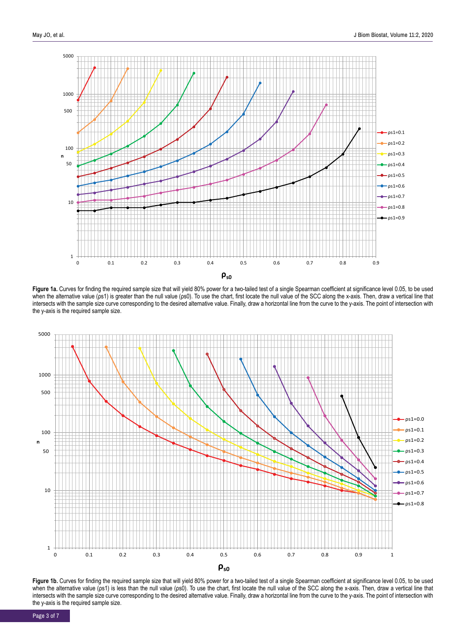

Figure 1a. Curves for finding the required sample size that will yield 80% power for a two-tailed test of a single Spearman coefficient at significance level 0.05, to be used when the alternative value (ps1) is greater than the null value (ps0). To use the chart, first locate the null value of the SCC along the x-axis. Then, draw a vertical line that intersects with the sample size curve corresponding to the desired alternative value. Finally, draw a horizontal line from the curve to the y-axis. The point of intersection with the y-axis is the required sample size.



Figure 1b. Curves for finding the required sample size that will yield 80% power for a two-tailed test of a single Spearman coefficient at significance level 0.05, to be used when the alternative value (ps1) is less than the null value (ps0). To use the chart, first locate the null value of the SCC along the x-axis. Then, draw a vertical line that intersects with the sample size curve corresponding to the desired alternative value. Finally, draw a horizontal line from the curve to the y-axis. The point of intersection with the y-axis is the required sample size.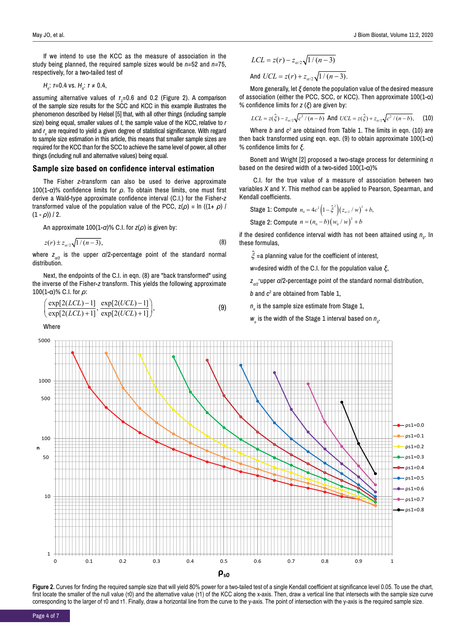If we intend to use the KCC as the measure of association in the study being planned, the required sample sizes would be *n=*52 and *n=*75, respectively, for a two-tailed test of

$$
H_o
$$
:  $\tau$ =0.4 vs.  $H_a$ :  $\tau \neq 0.4$ ,

assuming alternative values of *τ<sup>1</sup>* =0.6 and 0.2 (Figure 2). A comparison of the sample size results for the SCC and KCC in this example illustrates the phenomenon described by Helsel [5] that, with all other things (including sample size) being equal, smaller values of *t*, the sample value of the KCC, relative to *r* and *r* are required to yield a given degree of statistical significance. With regard *s* to sample size estimation in this article, this means that smaller sample sizes are required for the KCC than for the SCC to achieve the same level of power, all other things (including null and alternative values) being equal.

### **Sample size based on confidence interval estimation**

The Fisher *z-*transform can also be used to derive approximate 100(1-*α*)% confidence limits for *ρ*. To obtain these limits, one must first derive a Wald-type approximate confidence interval (C.I.) for the Fisher-*z* transformed value of the population value of the PCC,  $z(\rho) = \ln((1+\rho)/\sqrt{1+\rho})$  $(1 - \rho)$ ) / 2.

An approximate 100(1-*α*)% C.I. for *z*(*ρ*) is given by:

$$
z(r) \pm z_{\alpha/2} \sqrt{1/(n-3)},
$$
 (8)

where *zα/2* is the upper *α*/2-percentage point of the standard normal distribution.

Next, the endpoints of the C.I. in eqn. (8) are "back transformed" using the inverse of the Fisher-*z* transform. This yields the following approximate 100(1-α)% C.I. for *ρ*:

$$
\left(\frac{\exp[2(LCL)-1]}{\exp[2(LCL)+1]}, \frac{\exp[2(UCL)-1]}{\exp[2(UCL)+1]}\right),\tag{9}
$$

Where

$$
LCL = z(r) - z_{\alpha/2} \sqrt{1/(n-3)}
$$
  
And 
$$
UCL = z(r) + z_{\alpha/2} \sqrt{1/(n-3)}.
$$

More generally, let *ξ* denote the population value of the desired measure of association (either the PCC, SCC, or KCC). Then approximate 100(1-α) % confidence limits for *z* (*ξ*) are given by:

$$
LCL = z(\hat{\xi}) - z_{\alpha/2} \sqrt{c^2 / (n - b)} \text{ And } UCL = z(\hat{\xi}) + z_{\alpha/2} \sqrt{c^2 / (n - b)}, \quad (10)
$$

Where *b* and *c2* are obtained from Table 1. The limits in eqn. (10) are then back transformed using eqn. eqn. (9) to obtain approximate  $100(1-\alpha)$ % confidence limits for *ξ*.

Bonett and Wright [2] proposed a two-stage process for determining *n* based on the desired width of a two-sided  $100(1-\alpha)\%$ 

 C.I. for the true value of a measure of association between two variables *X* and *Y*. This method can be applied to Pearson, Spearman, and Kendall coefficients.

**Stage 1: Compute** 
$$
n_0 = 4c^2 (1 - \hat{\xi}^2) (z_{\alpha/2} / w)^2 + b
$$
,

Stage 2: Compute  $n = (n_{0} - b)(w_{0} / w)^{2} + b$ 

if the desired confidence interval width has not been attained using  $n_{o}$ . In these formulas,

 $\hat{\xi}$  =a planning value for the coefficient of interest,

*w*=desired width of the C.I. for the population value *ξ*,

*zα/2* = upper *α*/2-percentage point of the standard normal distribution,

*b* and *c2* are obtained from Table 1,

 $n_{_{\scriptscriptstyle O}}$  is the sample size estimate from Stage 1,

 $w_{\textit{o}}$  is the width of the Stage 1 interval based on  $n_{\textit{o}}$ .



Figure 2. Curves for finding the required sample size that will yield 80% power for a two-tailed test of a single Kendall coefficient at significance level 0.05. To use the chart, first locate the smaller of the null value (τ0) and the alternative value (τ1) of the KCC along the x-axis. Then, draw a vertical line that intersects with the sample size curve corresponding to the larger of τ0 and τ1. Finally, draw a horizontal line from the curve to the y-axis. The point of intersection with the y-axis is the required sample size.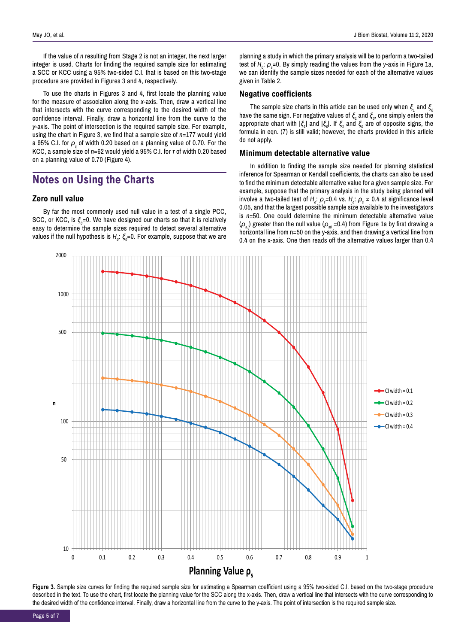If the value of *n* resulting from Stage 2 is not an integer, the next larger integer is used. Charts for finding the required sample size for estimating a SCC or KCC using a 95% two-sided C.I. that is based on this two-stage procedure are provided in Figures 3 and 4, respectively.

To use the charts in Figures 3 and 4, first locate the planning value for the measure of association along the *x*-axis. Then, draw a vertical line that intersects with the curve corresponding to the desired width of the confidence interval. Finally, draw a horizontal line from the curve to the *y*-axis. The point of intersection is the required sample size. For example, using the chart in Figure 3, we find that a sample size of *n*=177 would yield a 95% C.I. for  $\boldsymbol{\rho}_\text{\tiny s}$  of width 0.20 based on a planning value of 0.70. For the KCC, a sample size of *n*=62 would yield a 95% C.I. for *τ* of width 0.20 based on a planning value of 0.70 (Figure 4).

# **Notes on Using the Charts**

### **Zero null value**

By far the most commonly used null value in a test of a single PCC, SCC, or KCC, is *ξ<sub>0</sub>=*0. We have designed our charts so that it is relatively easy to determine the sample sizes required to detect several alternative values if the null hypothesis is *H<sub>o</sub>: ξ<sub>o</sub>=*0. For example, suppose that we are planning a study in which the primary analysis will be to perform a two-tailed test of *H<sub>0</sub>*: *ρ*<sub>s</sub>=0. By simply reading the values from the *y*-axis in Figure 1a, we can identify the sample sizes needed for each of the alternative values given in Table 2.

### **Negative coefficients**

The sample size charts in this article can be used only when  $\xi_1$  and  $\xi_0$ have the same sign. For negative values of  $\xi_1$  and  $\xi_0$ , one simply enters the appropriate chart with |*ξ<sup>1</sup>* | and |*ξ<sup>0</sup>* |. If *ξ<sup>1</sup>* and *ξ<sup>0</sup>* are of opposite signs, the formula in eqn. (7) is still valid; however, the charts provided in this article do not apply.

### **Minimum detectable alternative value**

In addition to finding the sample size needed for planning statistical inference for Spearman or Kendall coefficients, the charts can also be used to find the minimum detectable alternative value for a given sample size. For example, suppose that the primary analysis in the study being planned will involve a two-tailed test of *H*<sub>o</sub>:  $\rho$ <sub>s</sub>=0.4 vs. *H*<sub>a</sub>:  $\rho$ <sub>s</sub> ≠ 0.4 at significance level 0.05, and that the largest possible sample size available to the investigators is *n*=50. One could determine the minimum detectable alternative value  $(\rho_{s1})$  greater than the null value  $(\rho_{s0} = 0.4)$  from Figure 1a by first drawing a horizontal line from n=50 on the y-axis, and then drawing a vertical line from 0.4 on the x-axis. One then reads off the alternative values larger than 0.4



Figure 3. Sample size curves for finding the required sample size for estimating a Spearman coefficient using a 95% two-sided C.I. based on the two-stage procedure described in the text. To use the chart, first locate the planning value for the SCC along the x-axis. Then, draw a vertical line that intersects with the curve corresponding to the desired width of the confidence interval. Finally, draw a horizontal line from the curve to the y-axis. The point of intersection is the required sample size.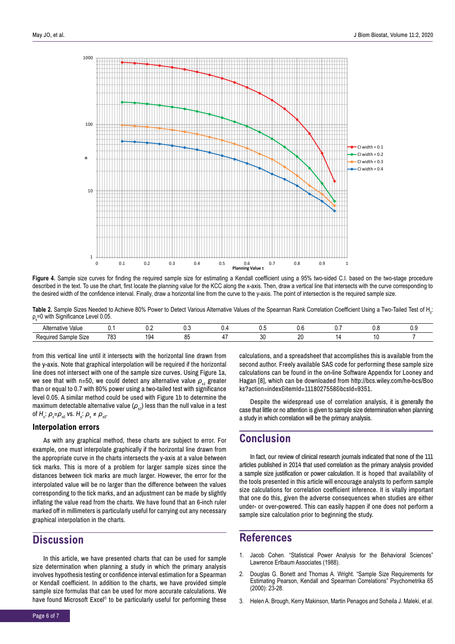

Figure 4. Sample size curves for finding the required sample size for estimating a Kendall coefficient using a 95% two-sided C.I. based on the two-stage procedure described in the text. To use the chart, first locate the planning value for the KCC along the x-axis. Then, draw a vertical line that intersects with the curve corresponding to the desired width of the confidence interval. Finally, draw a horizontal line from the curve to the y-axis. The point of intersection is the required sample size.

Table 2. Sample Sizes Needed to Achieve 80% Power to Detect Various Alternative Values of the Spearman Rank Correlation Coefficient Using a Two-Tailed Test of H<sub>0</sub>: ρ<sub>s</sub>=0 with Significance Level 0.05.

| Alterna<br>Value<br>native                           | ◡.          | $\mathsf{v}.\mathsf{c}$ | ∪.⊾ | ◡ | v.v     | v.J       | v.w | ∪.⊾ |
|------------------------------------------------------|-------------|-------------------------|-----|---|---------|-----------|-----|-----|
| $\sim$<br>0ה ש<br>Size<br>nuired.<br>`ample .<br>761 | 700<br>ده ا | $\overline{ }$          | ັ   |   | ົ<br>υu | oc<br>. . |     |     |

from this vertical line until it intersects with the horizontal line drawn from the y-axis. Note that graphical interpolation will be required if the horizontal line does not intersect with one of the sample size curves. Using Figure 1a, we see that with n=50, we could detect any alternative value  $\rho_{\alpha}$  greater than or equal to 0.7 with 80% power using a two-tailed test with significance level 0.05. A similar method could be used with Figure 1b to determine the maximum detectable alternative value  $(\rho_{s1})$  less than the null value in a test of *Ho* : *ρ<sup>s</sup> =ρs0* vs. *Ha* : *ρ<sup>s</sup>* ≠ *ρs0*.

### **Interpolation errors**

As with any graphical method, these charts are subject to error. For example, one must interpolate graphically if the horizontal line drawn from the appropriate curve in the charts intersects the y-axis at a value between tick marks. This is more of a problem for larger sample sizes since the distances between tick marks are much larger. However, the error for the interpolated value will be no larger than the difference between the values corresponding to the tick marks, and an adjustment can be made by slightly inflating the value read from the charts. We have found that an 6-inch ruler marked off in millimeters is particularly useful for carrying out any necessary graphical interpolation in the charts.

### **Discussion**

In this article, we have presented charts that can be used for sample size determination when planning a study in which the primary analysis involves hypothesis testing or confidence interval estimation for a Spearman or Kendall coefficient. In addition to the charts, we have provided simple sample size formulas that can be used for more accurate calculations. We have found Microsoft Excel<sup>®</sup> to be particularly useful for performing these

calculations, and a spreadsheet that accomplishes this is available from the second author. Freely available SAS code for performing these sample size calculations can be found in the on-line Software Appendix for Looney and Hagan [8], which can be downloaded from [http://bcs.wiley.com/he-bcs/Boo](http://bcs.wiley.com/he-bcs/Books?action=index&itemId=1118027558&bcsId=9351) [ks?action=index&itemId=1118027558&bcsId=9351.](http://bcs.wiley.com/he-bcs/Books?action=index&itemId=1118027558&bcsId=9351)

Despite the widespread use of correlation analysis, it is generally the case that little or no attention is given to sample size determination when planning a study in which correlation will be the primary analysis.

### **Conclusion**

In fact, our review of clinical research journals indicated that none of the 111 articles published in 2014 that used correlation as the primary analysis provided a sample size justification or power calculation. It is hoped that availability of the tools presented in this article will encourage analysts to perform sample size calculations for correlation coefficient inference. It is vitally important that one do this, given the adverse consequences when studies are either under- or over-powered. This can easily happen if one does not perform a sample size calculation prior to beginning the study.

### **References**

- 1. Jacob Cohen. "Statistical Power Analysis for the Behavioral Sciences" Lawrence Erlbaum Associates (1988).
- 2. Douglas G. Bonett and Thomas A. Wright. "Sample Size Requirements for Estimating Pearson, Kendall and Spearman Correlations" Psychometrika 65 (2000): 23-28.
- 3. Helen A. Brough, Kerry Makinson, Martin Penagos and Soheila J. Maleki, et al.